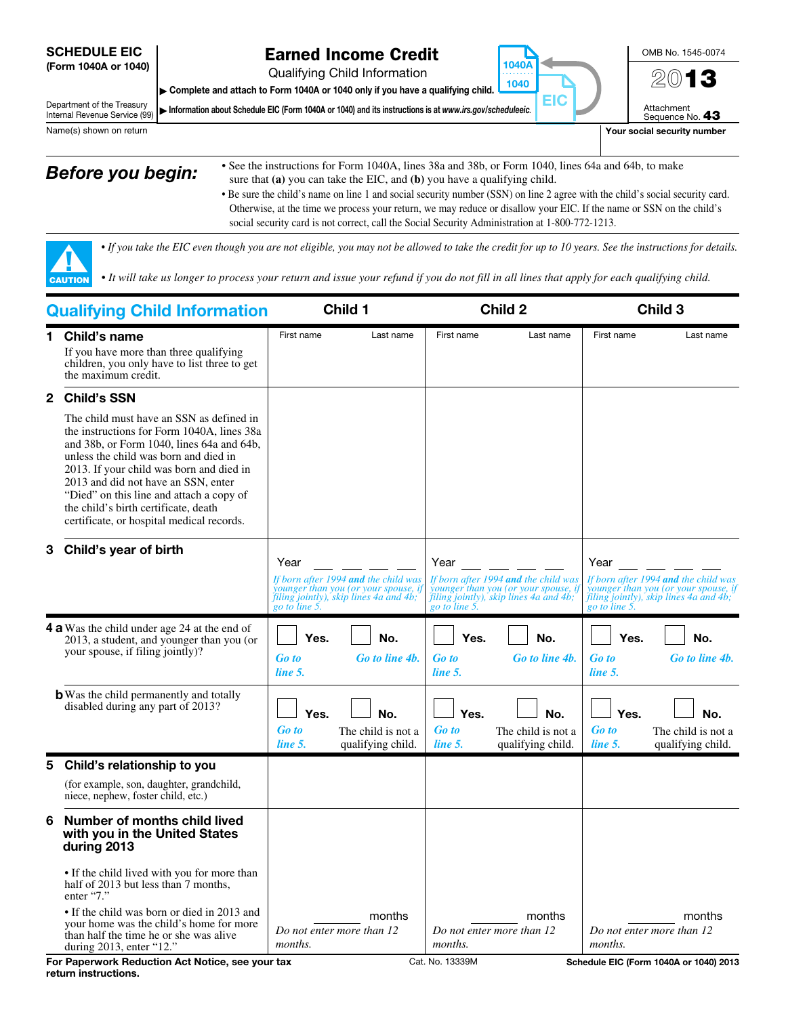#### SCHEDULE EIC (Form 1040A or 1040)

## Earned Income Credit

Qualifying Child Information

▶ Complete and attach to Form 1040A or 1040 only if you have a qualifying child.

Department of the Treasury Internal Revenue Service (99)  $\triangleright$  Information about Schedule EIC (Form 1040A or 1040) and its instructions is at *www.irs.gov/scheduleeic.* 



OMB No. 1545-0074

Name(s) shown on return **Your social security number**  $\blacksquare$  Your social security number

▲! CAUTION

- **Before you begin:** See the instructions for Form 1040A, lines 38a and 38b, or Form 1040, lines 64a and 64b, to make sure that **(a)** you can take the EIC, and **(b)** you have a qualifying child.
	- Be sure the child's name on line 1 and social security number (SSN) on line 2 agree with the child's social security card. Otherwise, at the time we process your return, we may reduce or disallow your EIC. If the name or SSN on the child's social security card is not correct, call the Social Security Administration at 1-800-772-1213.

1040A . . . . . . . . . . 1040

EIC

◀

*• If you take the EIC even though you are not eligible, you may not be allowed to take the credit for up to 10 years. See the instructions for details.*

*• It will take us longer to process your return and issue your refund if you do not fill in all lines that apply for each qualifying child.* 

| <b>Qualifying Child Information</b>                                                                                                  |                                                                                                                                                                                                                                                                                                                                                                                                  | Child 1                         |                                                                                                | <b>Child 2</b>                  |                                                                                                 | Child 3                         |                                                                                                 |
|--------------------------------------------------------------------------------------------------------------------------------------|--------------------------------------------------------------------------------------------------------------------------------------------------------------------------------------------------------------------------------------------------------------------------------------------------------------------------------------------------------------------------------------------------|---------------------------------|------------------------------------------------------------------------------------------------|---------------------------------|-------------------------------------------------------------------------------------------------|---------------------------------|-------------------------------------------------------------------------------------------------|
| 1.                                                                                                                                   | <b>Child's name</b><br>If you have more than three qualifying<br>children, you only have to list three to get<br>the maximum credit.                                                                                                                                                                                                                                                             | First name                      | Last name                                                                                      | First name                      | Last name                                                                                       | First name                      | Last name                                                                                       |
| 2.                                                                                                                                   | <b>Child's SSN</b>                                                                                                                                                                                                                                                                                                                                                                               |                                 |                                                                                                |                                 |                                                                                                 |                                 |                                                                                                 |
|                                                                                                                                      | The child must have an SSN as defined in<br>the instructions for Form 1040A, lines 38a<br>and 38b, or Form 1040, lines 64a and 64b,<br>unless the child was born and died in<br>2013. If your child was born and died in<br>2013 and did not have an SSN, enter<br>"Died" on this line and attach a copy of<br>the child's birth certificate, death<br>certificate, or hospital medical records. |                                 |                                                                                                |                                 |                                                                                                 |                                 |                                                                                                 |
| 3                                                                                                                                    | Child's year of birth                                                                                                                                                                                                                                                                                                                                                                            | Year                            | If born after 1994 and the child was                                                           | Year                            | If born after 1994 and the child was                                                            | Year                            | If born after 1994 and the child was                                                            |
|                                                                                                                                      |                                                                                                                                                                                                                                                                                                                                                                                                  |                                 | younger than you (or your spouse, i<br>filing jointly), skip lines 4a and 4b;<br>go to line 5. |                                 | younger than you (or your spouse, if<br>filing jointly), skip lines 4a and 4b;<br>go to line 5. |                                 | younger than you (or your spouse, if<br>filing jointly), skip lines 4a and 4b;<br>go to line 5. |
| <b>4 a</b> Was the child under age 24 at the end of<br>2013, a student, and younger than you (or<br>your spouse, if filing jointly)? |                                                                                                                                                                                                                                                                                                                                                                                                  | Yes.<br><b>Go</b> to<br>line 5. | No.<br>Go to line 4b.                                                                          | Yes.<br><b>Go</b> to<br>line 5. | No.<br>Go to line 4b.                                                                           | Yes.<br><b>Go</b> to<br>line 5. | No.<br>Go to line 4b.                                                                           |
|                                                                                                                                      | <b>b</b> Was the child permanently and totally<br>disabled during any part of 2013?                                                                                                                                                                                                                                                                                                              | Yes.<br><b>Go</b> to<br>line 5. | No.<br>The child is not a<br>qualifying child.                                                 | Yes.<br><b>Go</b> to<br>line 5. | No.<br>The child is not a<br>qualifying child.                                                  | Yes.<br><b>Go to</b><br>line 5. | No.<br>The child is not a<br>qualifying child.                                                  |
| 5                                                                                                                                    | Child's relationship to you                                                                                                                                                                                                                                                                                                                                                                      |                                 |                                                                                                |                                 |                                                                                                 |                                 |                                                                                                 |
|                                                                                                                                      | (for example, son, daughter, grandchild,<br>niece, nephew, foster child, etc.)                                                                                                                                                                                                                                                                                                                   |                                 |                                                                                                |                                 |                                                                                                 |                                 |                                                                                                 |
| 6                                                                                                                                    | Number of months child lived<br>with you in the United States<br>during 2013                                                                                                                                                                                                                                                                                                                     |                                 |                                                                                                |                                 |                                                                                                 |                                 |                                                                                                 |
|                                                                                                                                      | • If the child lived with you for more than<br>half of 2013 but less than 7 months,<br>enter "7."                                                                                                                                                                                                                                                                                                |                                 |                                                                                                |                                 |                                                                                                 |                                 |                                                                                                 |
|                                                                                                                                      | • If the child was born or died in 2013 and<br>your home was the child's home for more<br>than half the time he or she was alive<br>during $2013$ , enter "12."                                                                                                                                                                                                                                  | months.                         | months<br>Do not enter more than 12                                                            | <i>months.</i>                  | months<br>Do not enter more than 12                                                             | months.                         | months<br>Do not enter more than 12                                                             |